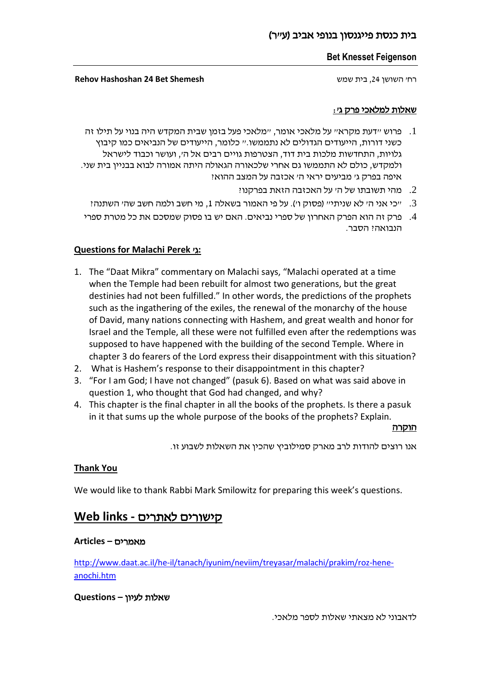### **Bet Knesset Feigenson**

רח' השושן ,24 בית שמש **Shemesh Bet 24 Hashoshan Rehov**

### שאלות למלאכי פרק ג':

- .1 פרוש "דעת מקרא" על מלאכי אומר, "מלאכי פעל בזמן שבית המקדש היה בנוי על תילו זה כשני דורות, הייעודים הגדולים לא נתממשו." כלומר, הייעודים של הנביאים כמו קיבוץ גלויות, התחדשות מלכות בית דוד, הצטרפות גויים רבים אל ה', ועושר וכבוד לישראל ולמקדש, כולם לא התממשו גם אחרי שלכאורה הגאולה היתה אמורה לבוא בבניין בית שני. איפה בפרק ג' מביעים יראי ה' אכזבה על המצב ההוא?
	- .3 מהי תשובתו של ה' על האכזבה הזאת בפרקנו  $2$
	- .3 "כי אני ה' לא שניתי" (פסוק ו'). על פי האמור בשאלה 1, מי חשב ולמה חשב שה' השתנה ?
- .4 פרק זה הוא הפרק האחרון של ספרי נביאים. האם יש בו פסוק שמסכם את כל מטרת ספרי הנבואה? הסבר.

## **Questions for Malachi Perek** 'ג**:**

- 1. The "Daat Mikra" commentary on Malachi says, "Malachi operated at a time when the Temple had been rebuilt for almost two generations, but the great destinies had not been fulfilled." In other words, the predictions of the prophets such as the ingathering of the exiles, the renewal of the monarchy of the house of David, many nations connecting with Hashem, and great wealth and honor for Israel and the Temple, all these were not fulfilled even after the redemptions was supposed to have happened with the building of the second Temple. Where in chapter 3 do fearers of the Lord express their disappointment with this situation?
- 2. What is Hashem's response to their disappointment in this chapter?
- 3. "For I am God; I have not changed" (pasuk 6). Based on what was said above in question 1, who thought that God had changed, and why?
- 4. This chapter is the final chapter in all the books of the prophets. Is there a pasuk in it that sums up the whole purpose of the books of the prophets? Explain.

<u>הוקרה</u>

אנו רוצים להודות לרב מארק סמילוביץ שהכין את השאלות לשבוע זו.

## **Thank You**

We would like to thank Rabbi Mark Smilowitz for preparing this week's questions.

## קישורים לאתרים **- links Web**

### מאמרים **– Articles**

[http://www.daat.ac.il/he-il/tanach/iyunim/neviim/treyasar/malachi/prakim/roz-hene](http://www.daat.ac.il/he-il/tanach/iyunim/neviim/treyasar/malachi/prakim/roz-hene-anochi.htm)[anochi.htm](http://www.daat.ac.il/he-il/tanach/iyunim/neviim/treyasar/malachi/prakim/roz-hene-anochi.htm)

## שאלות לעיון **– Questions**

לדאבוני לא מצאתי שאלות לספר מלאכי.